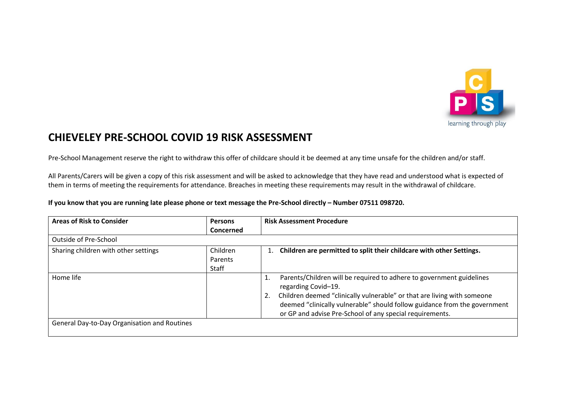

## **CHIEVELEY PRE-SCHOOL COVID 19 RISK ASSESSMENT**

Pre-School Management reserve the right to withdraw this offer of childcare should it be deemed at any time unsafe for the children and/or staff.

All Parents/Carers will be given a copy of this risk assessment and will be asked to acknowledge that they have read and understood what is expected of them in terms of meeting the requirements for attendance. Breaches in meeting these requirements may result in the withdrawal of childcare.

**If you know that you are running late please phone or text message the Pre-School directly – Number 07511 098720.**

| <b>Areas of Risk to Consider</b>             | <b>Persons</b>               | <b>Risk Assessment Procedure</b>                                                                                                                                                                                                                                                                                            |
|----------------------------------------------|------------------------------|-----------------------------------------------------------------------------------------------------------------------------------------------------------------------------------------------------------------------------------------------------------------------------------------------------------------------------|
|                                              | Concerned                    |                                                                                                                                                                                                                                                                                                                             |
| Outside of Pre-School                        |                              |                                                                                                                                                                                                                                                                                                                             |
| Sharing children with other settings         | Children<br>Parents<br>Staff | Children are permitted to split their childcare with other Settings.                                                                                                                                                                                                                                                        |
| Home life                                    |                              | Parents/Children will be required to adhere to government guidelines<br>1.<br>regarding Covid-19.<br>Children deemed "clinically vulnerable" or that are living with someone<br>2.<br>deemed "clinically vulnerable" should follow guidance from the government<br>or GP and advise Pre-School of any special requirements. |
| General Day-to-Day Organisation and Routines |                              |                                                                                                                                                                                                                                                                                                                             |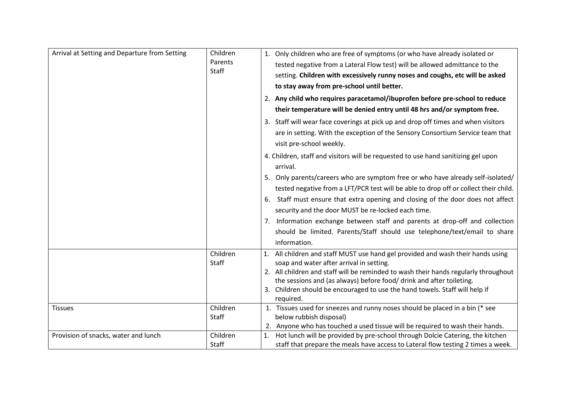| Arrival at Setting and Departure from Setting | Children<br>Parents<br>Staff | 1. Only children who are free of symptoms (or who have already isolated or               |
|-----------------------------------------------|------------------------------|------------------------------------------------------------------------------------------|
|                                               |                              | tested negative from a Lateral Flow test) will be allowed admittance to the              |
|                                               |                              | setting. Children with excessively runny noses and coughs, etc will be asked             |
|                                               |                              | to stay away from pre-school until better.                                               |
|                                               |                              | 2. Any child who requires paracetamol/ibuprofen before pre-school to reduce              |
|                                               |                              | their temperature will be denied entry until 48 hrs and/or symptom free.                 |
|                                               |                              | 3. Staff will wear face coverings at pick up and drop off times and when visitors        |
|                                               |                              | are in setting. With the exception of the Sensory Consortium Service team that           |
|                                               |                              | visit pre-school weekly.                                                                 |
|                                               |                              | 4. Children, staff and visitors will be requested to use hand sanitizing gel upon        |
|                                               |                              | arrival.                                                                                 |
|                                               |                              | 5. Only parents/careers who are symptom free or who have already self-isolated/          |
|                                               |                              | tested negative from a LFT/PCR test will be able to drop off or collect their child.     |
|                                               |                              | 6. Staff must ensure that extra opening and closing of the door does not affect          |
|                                               |                              | security and the door MUST be re-locked each time.                                       |
|                                               |                              | 7. Information exchange between staff and parents at drop-off and collection             |
|                                               |                              | should be limited. Parents/Staff should use telephone/text/email to share                |
|                                               |                              | information.                                                                             |
|                                               | Children                     | 1. All children and staff MUST use hand gel provided and wash their hands using          |
|                                               | <b>Staff</b>                 | soap and water after arrival in setting.                                                 |
|                                               |                              | 2. All children and staff will be reminded to wash their hands regularly throughout      |
|                                               |                              | the sessions and (as always) before food/ drink and after toileting.                     |
|                                               |                              | 3. Children should be encouraged to use the hand towels. Staff will help if<br>required. |
| <b>Tissues</b>                                | Children                     | 1. Tissues used for sneezes and runny noses should be placed in a bin (* see             |
|                                               | Staff                        | below rubbish disposal)                                                                  |
|                                               |                              | 2. Anyone who has touched a used tissue will be required to wash their hands.            |
| Provision of snacks, water and lunch          | Children                     | 1. Hot lunch will be provided by pre-school through Dolcie Catering, the kitchen         |
|                                               | Staff                        | staff that prepare the meals have access to Lateral flow testing 2 times a week.         |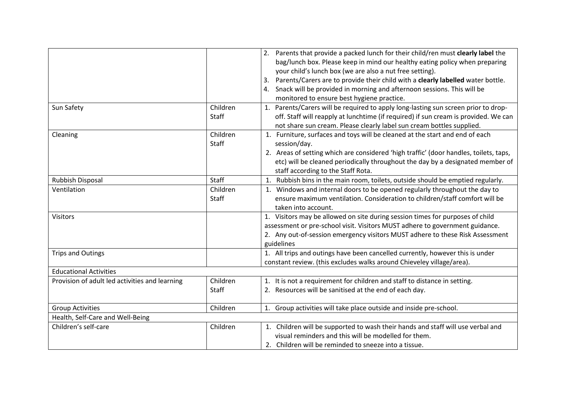|                                                |              | 2. Parents that provide a packed lunch for their child/ren must clearly label the     |
|------------------------------------------------|--------------|---------------------------------------------------------------------------------------|
|                                                |              | bag/lunch box. Please keep in mind our healthy eating policy when preparing           |
|                                                |              | your child's lunch box (we are also a nut free setting).                              |
|                                                |              | Parents/Carers are to provide their child with a clearly labelled water bottle.       |
|                                                |              | 4. Snack will be provided in morning and afternoon sessions. This will be             |
|                                                |              | monitored to ensure best hygiene practice.                                            |
| Sun Safety                                     | Children     | 1. Parents/Carers will be required to apply long-lasting sun screen prior to drop-    |
|                                                | Staff        | off. Staff will reapply at lunchtime (if required) if sun cream is provided. We can   |
|                                                |              | not share sun cream. Please clearly label sun cream bottles supplied.                 |
| Cleaning                                       | Children     | 1. Furniture, surfaces and toys will be cleaned at the start and end of each          |
|                                                | <b>Staff</b> | session/day.                                                                          |
|                                                |              | 2. Areas of setting which are considered 'high traffic' (door handles, toilets, taps, |
|                                                |              | etc) will be cleaned periodically throughout the day by a designated member of        |
|                                                |              | staff according to the Staff Rota.                                                    |
| <b>Rubbish Disposal</b>                        | <b>Staff</b> | 1. Rubbish bins in the main room, toilets, outside should be emptied regularly.       |
| Ventilation                                    | Children     | 1. Windows and internal doors to be opened regularly throughout the day to            |
|                                                | <b>Staff</b> | ensure maximum ventilation. Consideration to children/staff comfort will be           |
|                                                |              | taken into account.                                                                   |
| <b>Visitors</b>                                |              | 1. Visitors may be allowed on site during session times for purposes of child         |
|                                                |              | assessment or pre-school visit. Visitors MUST adhere to government guidance.          |
|                                                |              | 2. Any out-of-session emergency visitors MUST adhere to these Risk Assessment         |
|                                                |              | guidelines                                                                            |
| <b>Trips and Outings</b>                       |              | 1. All trips and outings have been cancelled currently, however this is under         |
|                                                |              | constant review. (this excludes walks around Chieveley village/area).                 |
| <b>Educational Activities</b>                  |              |                                                                                       |
| Provision of adult led activities and learning | Children     | 1. It is not a requirement for children and staff to distance in setting.             |
|                                                | <b>Staff</b> | 2. Resources will be sanitised at the end of each day.                                |
|                                                |              |                                                                                       |
| <b>Group Activities</b>                        | Children     | 1. Group activities will take place outside and inside pre-school.                    |
| Health, Self-Care and Well-Being               |              |                                                                                       |
| Children's self-care                           | Children     | 1. Children will be supported to wash their hands and staff will use verbal and       |
|                                                |              | visual reminders and this will be modelled for them.                                  |
|                                                |              | 2. Children will be reminded to sneeze into a tissue.                                 |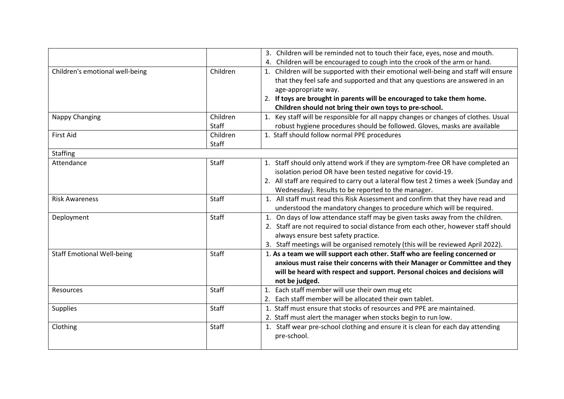|                                   |              | 3. Children will be reminded not to touch their face, eyes, nose and mouth.           |
|-----------------------------------|--------------|---------------------------------------------------------------------------------------|
|                                   |              | 4. Children will be encouraged to cough into the crook of the arm or hand.            |
| Children's emotional well-being   | Children     | 1. Children will be supported with their emotional well-being and staff will ensure   |
|                                   |              | that they feel safe and supported and that any questions are answered in an           |
|                                   |              | age-appropriate way.                                                                  |
|                                   |              | 2. If toys are brought in parents will be encouraged to take them home.               |
|                                   |              | Children should not bring their own toys to pre-school.                               |
| Nappy Changing                    | Children     | 1. Key staff will be responsible for all nappy changes or changes of clothes. Usual   |
|                                   | Staff        | robust hygiene procedures should be followed. Gloves, masks are available             |
| <b>First Aid</b>                  | Children     | 1. Staff should follow normal PPE procedures                                          |
|                                   | <b>Staff</b> |                                                                                       |
| Staffing                          |              |                                                                                       |
| Attendance                        | Staff        | 1. Staff should only attend work if they are symptom-free OR have completed an        |
|                                   |              | isolation period OR have been tested negative for covid-19.                           |
|                                   |              | 2. All staff are required to carry out a lateral flow test 2 times a week (Sunday and |
|                                   |              | Wednesday). Results to be reported to the manager.                                    |
| <b>Risk Awareness</b>             | Staff        | 1. All staff must read this Risk Assessment and confirm that they have read and       |
|                                   |              | understood the mandatory changes to procedure which will be required.                 |
| Deployment                        | <b>Staff</b> | 1. On days of low attendance staff may be given tasks away from the children.         |
|                                   |              | 2. Staff are not required to social distance from each other, however staff should    |
|                                   |              | always ensure best safety practice.                                                   |
|                                   |              | 3. Staff meetings will be organised remotely (this will be reviewed April 2022).      |
| <b>Staff Emotional Well-being</b> | Staff        | 1. As a team we will support each other. Staff who are feeling concerned or           |
|                                   |              | anxious must raise their concerns with their Manager or Committee and they            |
|                                   |              | will be heard with respect and support. Personal choices and decisions will           |
|                                   |              | not be judged.                                                                        |
| Resources                         | Staff        | 1. Each staff member will use their own mug etc                                       |
|                                   |              | 2. Each staff member will be allocated their own tablet.                              |
| Supplies                          | <b>Staff</b> | 1. Staff must ensure that stocks of resources and PPE are maintained.                 |
|                                   |              | 2. Staff must alert the manager when stocks begin to run low.                         |
| Clothing                          | Staff        | 1. Staff wear pre-school clothing and ensure it is clean for each day attending       |
|                                   |              | pre-school.                                                                           |
|                                   |              |                                                                                       |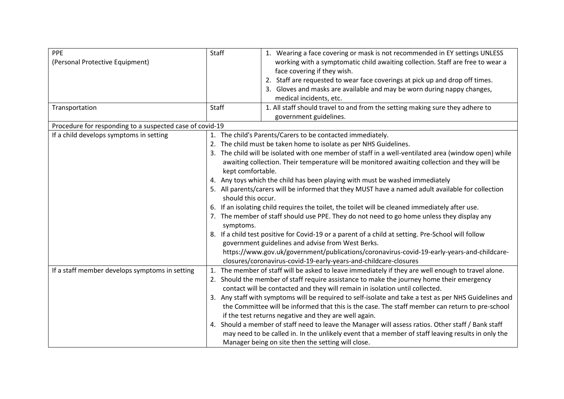| PPE<br>(Personal Protective Equipment)                   | Staff                                                                                                                                                                                                                                                                                                                                                                                                                                                                                                                                                                                                                                                                                                                                                                                                                                                                                                                                                                                                                                           | 1. Wearing a face covering or mask is not recommended in EY settings UNLESS<br>working with a symptomatic child awaiting collection. Staff are free to wear a<br>face covering if they wish.<br>2. Staff are requested to wear face coverings at pick up and drop off times.<br>3. Gloves and masks are available and may be worn during nappy changes,<br>medical incidents, etc.                                                                                                                                                                                                                                                                                                                                                                                                                                                                                                      |
|----------------------------------------------------------|-------------------------------------------------------------------------------------------------------------------------------------------------------------------------------------------------------------------------------------------------------------------------------------------------------------------------------------------------------------------------------------------------------------------------------------------------------------------------------------------------------------------------------------------------------------------------------------------------------------------------------------------------------------------------------------------------------------------------------------------------------------------------------------------------------------------------------------------------------------------------------------------------------------------------------------------------------------------------------------------------------------------------------------------------|-----------------------------------------------------------------------------------------------------------------------------------------------------------------------------------------------------------------------------------------------------------------------------------------------------------------------------------------------------------------------------------------------------------------------------------------------------------------------------------------------------------------------------------------------------------------------------------------------------------------------------------------------------------------------------------------------------------------------------------------------------------------------------------------------------------------------------------------------------------------------------------------|
| Transportation                                           | Staff                                                                                                                                                                                                                                                                                                                                                                                                                                                                                                                                                                                                                                                                                                                                                                                                                                                                                                                                                                                                                                           | 1. All staff should travel to and from the setting making sure they adhere to<br>government guidelines.                                                                                                                                                                                                                                                                                                                                                                                                                                                                                                                                                                                                                                                                                                                                                                                 |
| Procedure for responding to a suspected case of covid-19 |                                                                                                                                                                                                                                                                                                                                                                                                                                                                                                                                                                                                                                                                                                                                                                                                                                                                                                                                                                                                                                                 |                                                                                                                                                                                                                                                                                                                                                                                                                                                                                                                                                                                                                                                                                                                                                                                                                                                                                         |
| If a child develops symptoms in setting                  | 1. The child's Parents/Carers to be contacted immediately.<br>2. The child must be taken home to isolate as per NHS Guidelines.<br>3. The child will be isolated with one member of staff in a well-ventilated area (window open) while<br>awaiting collection. Their temperature will be monitored awaiting collection and they will be<br>kept comfortable.<br>4. Any toys which the child has been playing with must be washed immediately<br>5. All parents/carers will be informed that they MUST have a named adult available for collection<br>should this occur.<br>6. If an isolating child requires the toilet, the toilet will be cleaned immediately after use.<br>7. The member of staff should use PPE. They do not need to go home unless they display any<br>symptoms.<br>8. If a child test positive for Covid-19 or a parent of a child at setting. Pre-School will follow<br>government guidelines and advise from West Berks.<br>https://www.gov.uk/government/publications/coronavirus-covid-19-early-years-and-childcare- |                                                                                                                                                                                                                                                                                                                                                                                                                                                                                                                                                                                                                                                                                                                                                                                                                                                                                         |
| If a staff member develops symptoms in setting           | 4.                                                                                                                                                                                                                                                                                                                                                                                                                                                                                                                                                                                                                                                                                                                                                                                                                                                                                                                                                                                                                                              | closures/coronavirus-covid-19-early-years-and-childcare-closures<br>1. The member of staff will be asked to leave immediately if they are well enough to travel alone.<br>2. Should the member of staff require assistance to make the journey home their emergency<br>contact will be contacted and they will remain in isolation until collected.<br>3. Any staff with symptoms will be required to self-isolate and take a test as per NHS Guidelines and<br>the Committee will be informed that this is the case. The staff member can return to pre-school<br>if the test returns negative and they are well again.<br>Should a member of staff need to leave the Manager will assess ratios. Other staff / Bank staff<br>may need to be called in. In the unlikely event that a member of staff leaving results in only the<br>Manager being on site then the setting will close. |